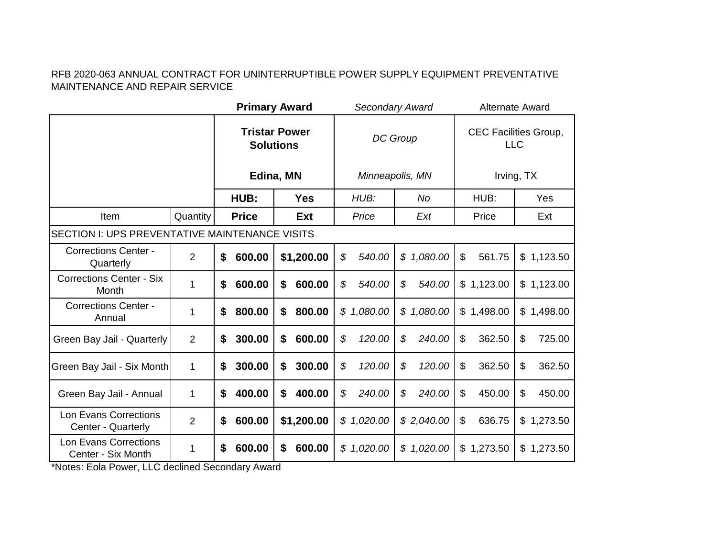|                                                |                | <b>Primary Award</b> |                                          |              | Secondary Award | <b>Alternate Award</b>   |                                            |  |
|------------------------------------------------|----------------|----------------------|------------------------------------------|--------------|-----------------|--------------------------|--------------------------------------------|--|
|                                                |                |                      | <b>Tristar Power</b><br><b>Solutions</b> |              | DC Group        |                          | <b>CEC Facilities Group,</b><br><b>LLC</b> |  |
|                                                |                |                      | Edina, MN                                |              | Minneapolis, MN |                          | Irving, TX                                 |  |
|                                                |                | HUB:                 | <b>Yes</b>                               | HUB:         | <b>No</b>       | HUB:                     | Yes                                        |  |
| Item                                           | Quantity       | <b>Price</b>         | <b>Ext</b>                               | Price        | Ext             | Price                    | Ext                                        |  |
| SECTION I: UPS PREVENTATIVE MAINTENANCE VISITS |                |                      |                                          |              |                 |                          |                                            |  |
| <b>Corrections Center -</b><br>Quarterly       | $\overline{2}$ | \$<br>600.00         | \$1,200.00                               | \$<br>540.00 | \$1,080.00      | $\mathfrak{S}$<br>561.75 | \$1,123.50                                 |  |
| <b>Corrections Center - Six</b><br>Month       | 1              | 600.00<br>\$         | \$<br>600.00                             | \$<br>540.00 | \$<br>540.00    | \$1,123.00               | \$1,123.00                                 |  |
| <b>Corrections Center -</b><br>Annual          | 1              | \$<br>800.00         | \$<br>800.00                             | \$1,080.00   | \$1,080.00      | \$1,498.00               | \$1,498.00                                 |  |
| Green Bay Jail - Quarterly                     | $\overline{2}$ | \$<br>300.00         | \$<br>600.00                             | \$<br>120.00 | \$<br>240.00    | \$<br>362.50             | \$<br>725.00                               |  |
| Green Bay Jail - Six Month                     | 1              | \$<br>300.00         | \$<br>300.00                             | \$<br>120.00 | \$<br>120.00    | $\mathfrak{L}$<br>362.50 | $\mathfrak{S}$<br>362.50                   |  |
| Green Bay Jail - Annual                        | 1              | 400.00<br>\$         | \$<br>400.00                             | \$<br>240.00 | \$<br>240.00    | 450.00<br>\$             | \$<br>450.00                               |  |
| Lon Evans Corrections<br>Center - Quarterly    | $\overline{2}$ | 600.00<br>\$         | \$1,200.00                               | \$1,020.00   | \$2,040.00      | $\$\$<br>636.75          | 1,273.50<br>\$                             |  |
| Lon Evans Corrections<br>Center - Six Month    | 1              | \$<br>600.00         | \$<br>600.00                             | \$1,020.00   | \$1,020.00      | \$1,273.50               | 1,273.50<br>\$                             |  |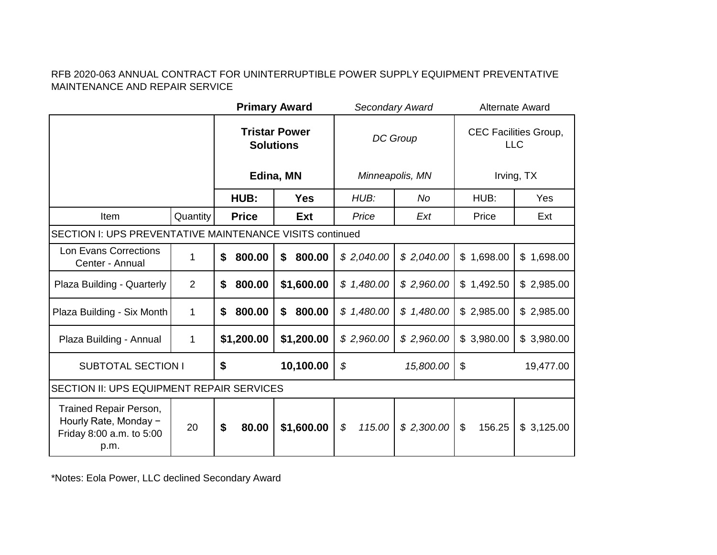|                                                                                     |          |                                          | <b>Primary Award</b> |                          | Secondary Award | <b>Alternate Award</b> |                                            |  |
|-------------------------------------------------------------------------------------|----------|------------------------------------------|----------------------|--------------------------|-----------------|------------------------|--------------------------------------------|--|
|                                                                                     |          | <b>Tristar Power</b><br><b>Solutions</b> |                      | DC Group                 |                 |                        | <b>CEC Facilities Group,</b><br><b>LLC</b> |  |
|                                                                                     |          | Edina, MN                                |                      | Minneapolis, MN          |                 |                        | Irving, TX                                 |  |
|                                                                                     |          | HUB:                                     | <b>Yes</b>           | HUB:                     | <b>No</b>       | HUB:                   | Yes                                        |  |
| <b>Item</b>                                                                         | Quantity | <b>Price</b>                             | <b>Ext</b>           | Price                    | Ext             | Price                  | Ext                                        |  |
| <b>SECTION I: UPS PREVENTATIVE MAINTENANCE VISITS continued</b>                     |          |                                          |                      |                          |                 |                        |                                            |  |
| Lon Evans Corrections<br>Center - Annual                                            | 1        | 800.00<br>\$                             | \$<br>800.00         | \$2,040.00<br>\$2,040.00 |                 | \$1,698.00             | \$1,698.00                                 |  |
| Plaza Building - Quarterly                                                          | 2        | 800.00<br>\$                             | \$1,600.00           | \$1,480.00               | \$2,960.00      | \$1,492.50             | \$2,985.00                                 |  |
| Plaza Building - Six Month                                                          | 1        | \$<br>800.00                             | \$<br>800.00         | \$1,480.00               | \$1,480.00      | \$2,985.00             | \$2,985.00                                 |  |
| Plaza Building - Annual                                                             | 1        | \$1,200.00                               | \$1,200.00           | \$2,960.00               | \$2,960.00      | \$3,980.00             | \$3,980.00                                 |  |
| <b>SUBTOTAL SECTION I</b>                                                           |          | \$                                       | 10,100.00            |                          | \$<br>15,800.00 |                        | 19,477.00                                  |  |
| SECTION II: UPS EQUIPMENT REPAIR SERVICES                                           |          |                                          |                      |                          |                 |                        |                                            |  |
| Trained Repair Person,<br>Hourly Rate, Monday -<br>Friday 8:00 a.m. to 5:00<br>p.m. | 20       | \$<br>80.00                              | \$1,600.00           | \$<br>115.00             | \$2,300.00      | \$<br>156.25           | \$3,125.00                                 |  |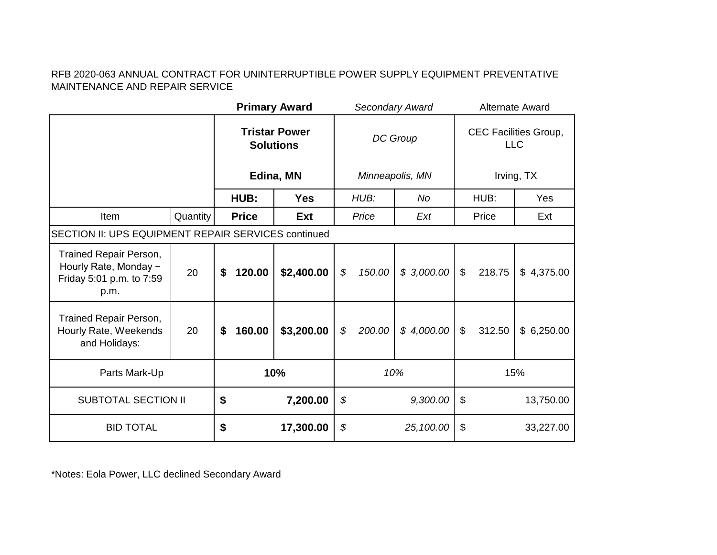|                                                                                     |          | <b>Primary Award</b>                     |            |                 |                 | Secondary Award | <b>Alternate Award</b>                     |            |            |  |
|-------------------------------------------------------------------------------------|----------|------------------------------------------|------------|-----------------|-----------------|-----------------|--------------------------------------------|------------|------------|--|
|                                                                                     |          | <b>Tristar Power</b><br><b>Solutions</b> |            | DC Group        |                 |                 | <b>CEC Facilities Group,</b><br><b>LLC</b> |            |            |  |
|                                                                                     |          | Edina, MN                                |            |                 | Minneapolis, MN |                 |                                            | Irving, TX |            |  |
|                                                                                     |          | HUB:                                     | <b>Yes</b> |                 | HUB:            | No              |                                            | HUB:       | Yes        |  |
| Item                                                                                | Quantity | <b>Price</b>                             | Ext        |                 | Price           | Ext             |                                            | Price      | Ext        |  |
| SECTION II: UPS EQUIPMENT REPAIR SERVICES continued                                 |          |                                          |            |                 |                 |                 |                                            |            |            |  |
| Trained Repair Person,<br>Hourly Rate, Monday -<br>Friday 5:01 p.m. to 7:59<br>p.m. | 20       | 120.00<br>\$                             | \$2,400.00 | \$              | 150.00          | \$3,000.00      | $\mathcal{L}$<br>218.75                    |            | \$4,375.00 |  |
| Trained Repair Person,<br>Hourly Rate, Weekends<br>and Holidays:                    | 20       | 160.00<br>\$                             | \$3,200.00 | \$              | 200.00          | \$4,000.00      | $\mathcal{L}$                              | 312.50     | \$6,250.00 |  |
| Parts Mark-Up                                                                       |          | 10%                                      |            | 10%             |                 | 15%             |                                            |            |            |  |
| \$<br><b>SUBTOTAL SECTION II</b>                                                    |          | 7,200.00                                 | \$         |                 | 9,300.00        | $\$\$           |                                            | 13,750.00  |            |  |
| <b>BID TOTAL</b>                                                                    |          | \$                                       | 17,300.00  | \$<br>25,100.00 |                 | \$<br>33,227.00 |                                            |            |            |  |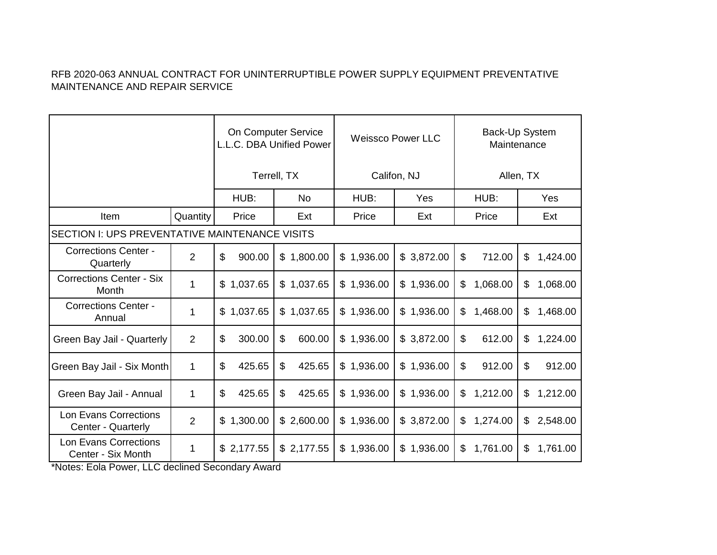|                                                       |                | On Computer Service<br>L.L.C. DBA Unified Power |              |                | <b>Weissco Power LLC</b> | Back-Up System<br>Maintenance |                |  |  |
|-------------------------------------------------------|----------------|-------------------------------------------------|--------------|----------------|--------------------------|-------------------------------|----------------|--|--|
|                                                       |                | Terrell, TX                                     |              |                | Califon, NJ              | Allen, TX                     |                |  |  |
|                                                       |                | HUB:                                            | <b>No</b>    | HUB:           | Yes                      | HUB:                          | Yes            |  |  |
| Item                                                  | Quantity       | Price                                           | Ext          | Price          | Ext                      | Price                         | Ext            |  |  |
| <b>SECTION I: UPS PREVENTATIVE MAINTENANCE VISITS</b> |                |                                                 |              |                |                          |                               |                |  |  |
| <b>Corrections Center -</b><br>Quarterly              | $\overline{2}$ | \$<br>900.00                                    | \$1,800.00   | \$1,936.00     | \$3,872.00               | \$<br>712.00                  | \$<br>1,424.00 |  |  |
| <b>Corrections Center - Six</b><br>Month              | 1              | \$1,037.65                                      | \$1,037.65   | 1,936.00<br>\$ | \$1,936.00               | \$<br>1,068.00                | 1,068.00<br>\$ |  |  |
| <b>Corrections Center -</b><br>Annual                 | 1              | 1,037.65<br>\$                                  | \$1,037.65   | \$<br>1,936.00 | \$1,936.00               | \$<br>1,468.00                | \$<br>1,468.00 |  |  |
| Green Bay Jail - Quarterly                            | $\overline{2}$ | $\mathfrak{S}$<br>300.00                        | \$<br>600.00 | 1,936.00<br>\$ | \$3,872.00               | \$<br>612.00                  | \$<br>1,224.00 |  |  |
| Green Bay Jail - Six Month                            | $\mathbf 1$    | \$<br>425.65                                    | \$<br>425.65 | \$1,936.00     | \$1,936.00               | \$<br>912.00                  | 912.00<br>\$   |  |  |
| Green Bay Jail - Annual                               | 1              | \$<br>425.65                                    | \$<br>425.65 | \$1,936.00     | \$1,936.00               | 1,212.00<br>\$                | \$<br>1,212.00 |  |  |
| Lon Evans Corrections<br>Center - Quarterly           | $\overline{2}$ | \$1,300.00                                      | \$2,600.00   | \$1,936.00     | \$3,872.00               | 1,274.00<br>\$                | 2,548.00<br>\$ |  |  |
| <b>Lon Evans Corrections</b><br>Center - Six Month    | 1              | \$2,177.55                                      | \$2,177.55   | \$1,936.00     | \$1,936.00               | \$<br>1,761.00                | 1,761.00<br>\$ |  |  |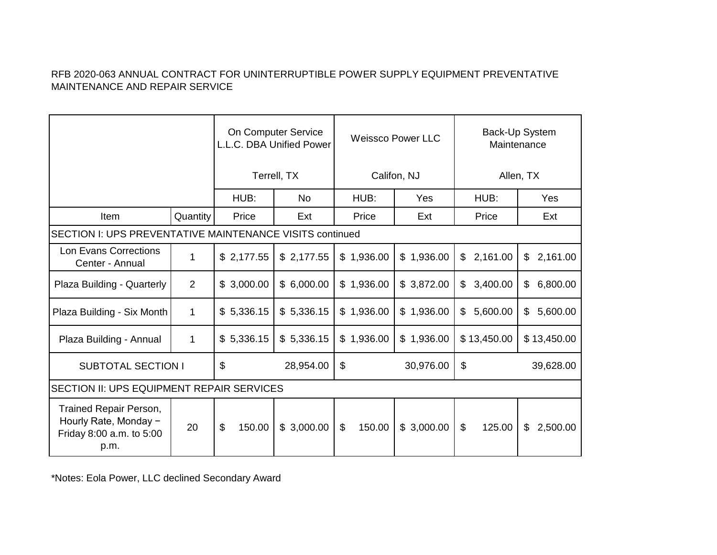|                                                                                     |                | On Computer Service<br>L.L.C. DBA Unified Power |            |                          | <b>Weissco Power LLC</b> | Back-Up System<br>Maintenance       |                |  |
|-------------------------------------------------------------------------------------|----------------|-------------------------------------------------|------------|--------------------------|--------------------------|-------------------------------------|----------------|--|
|                                                                                     |                | Terrell, TX                                     |            |                          | Califon, NJ              | Allen, TX                           |                |  |
|                                                                                     |                | HUB:                                            | <b>No</b>  | HUB:                     | <b>Yes</b>               | HUB:                                | Yes            |  |
| Item                                                                                | Quantity       | Price                                           | Ext        | Price                    | Ext                      | Price                               | Ext            |  |
| SECTION I: UPS PREVENTATIVE MAINTENANCE VISITS continued                            |                |                                                 |            |                          |                          |                                     |                |  |
| Lon Evans Corrections<br>Center - Annual                                            | $\mathbf{1}$   | \$2,177.55                                      | \$2,177.55 | \$1,936.00               | \$1,936.00               | 2,161.00<br>\$                      | \$<br>2,161.00 |  |
| Plaza Building - Quarterly                                                          | $\overline{2}$ | \$3,000.00                                      | \$6,000.00 | \$1,936.00               | \$3,872.00               | 3,400.00<br>\$                      | 6,800.00<br>\$ |  |
| Plaza Building - Six Month                                                          | 1              | \$5,336.15                                      | \$5,336.15 | \$1,936.00               | \$1,936.00               | 5,600.00<br>\$                      | \$<br>5,600.00 |  |
| Plaza Building - Annual                                                             | 1              | \$5,336.15                                      | \$5,336.15 | \$1,936.00               | \$1,936.00               | \$13,450.00                         | \$13,450.00    |  |
| <b>SUBTOTAL SECTION I</b>                                                           |                | \$                                              | 28,954.00  | \$                       | 30,976.00                | \$                                  | 39,628.00      |  |
| <b>SECTION II: UPS EQUIPMENT REPAIR SERVICES</b>                                    |                |                                                 |            |                          |                          |                                     |                |  |
| Trained Repair Person,<br>Hourly Rate, Monday -<br>Friday 8:00 a.m. to 5:00<br>p.m. | 20             | $\boldsymbol{\mathsf{S}}$<br>150.00             | \$3,000.00 | $\mathfrak{L}$<br>150.00 | \$3,000.00               | $\boldsymbol{\mathsf{S}}$<br>125.00 | \$<br>2,500.00 |  |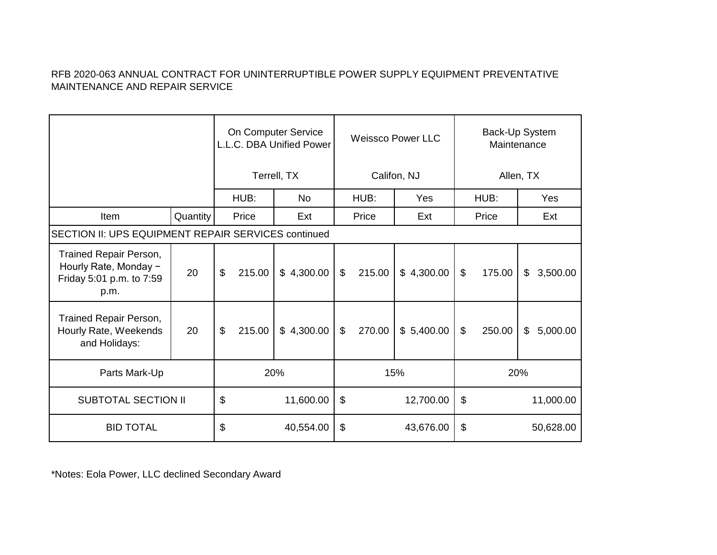|                                                                                     |          | On Computer Service<br>L.L.C. DBA Unified Power |            | <b>Weissco Power LLC</b> |        |            | Back-Up System<br>Maintenance |        |                |           |
|-------------------------------------------------------------------------------------|----------|-------------------------------------------------|------------|--------------------------|--------|------------|-------------------------------|--------|----------------|-----------|
|                                                                                     |          | Terrell, TX                                     |            | Califon, NJ              |        |            | Allen, TX                     |        |                |           |
|                                                                                     |          | HUB:                                            | <b>No</b>  |                          | HUB:   | <b>Yes</b> | HUB:                          |        |                | Yes       |
| Item                                                                                | Quantity | Price                                           | Ext        |                          | Price  | Ext        |                               | Price  |                | Ext       |
| SECTION II: UPS EQUIPMENT REPAIR SERVICES continued                                 |          |                                                 |            |                          |        |            |                               |        |                |           |
| Trained Repair Person,<br>Hourly Rate, Monday -<br>Friday 5:01 p.m. to 7:59<br>p.m. | 20       | $\boldsymbol{\mathsf{S}}$<br>215.00             | \$4,300.00 | $\mathfrak{L}$           | 215.00 | \$4,300.00 | $\mathcal{L}$                 | 175.00 | $\mathfrak{L}$ | 3,500.00  |
| Trained Repair Person,<br>Hourly Rate, Weekends<br>and Holidays:                    | 20       | \$<br>215.00                                    | \$4,300.00 | \$                       | 270.00 | \$5,400.00 | $\boldsymbol{\mathsf{S}}$     | 250.00 | $\mathfrak{S}$ | 5,000.00  |
| Parts Mark-Up                                                                       |          | 20%                                             |            |                          | 15%    |            | 20%                           |        |                |           |
| <b>SUBTOTAL SECTION II</b>                                                          |          | \$                                              | 11,600.00  | \$<br>12,700.00<br>\$    |        |            | 11,000.00                     |        |                |           |
| <b>BID TOTAL</b>                                                                    |          | \$                                              | 40,554.00  | \$                       |        | 43,676.00  | \$                            |        |                | 50,628.00 |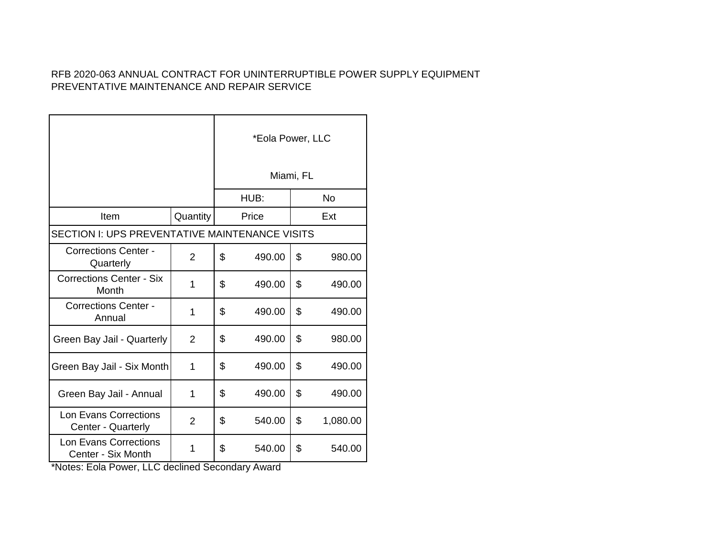|                                                    |                | *Eola Power, LLC<br>Miami, FL |        |     |           |  |  |
|----------------------------------------------------|----------------|-------------------------------|--------|-----|-----------|--|--|
|                                                    |                |                               | HUB:   |     | <b>No</b> |  |  |
| Item                                               | Quantity       |                               | Price  | Ext |           |  |  |
| SECTION I: UPS PREVENTATIVE MAINTENANCE VISITS     |                |                               |        |     |           |  |  |
| <b>Corrections Center -</b><br>Quarterly           | $\overline{2}$ | \$                            | 490.00 | \$  | 980.00    |  |  |
| <b>Corrections Center - Six</b><br>Month           | 1              | \$                            | 490.00 | \$  | 490.00    |  |  |
| <b>Corrections Center -</b><br>Annual              | 1              | \$                            | 490.00 | \$  | 490.00    |  |  |
| Green Bay Jail - Quarterly                         | 2              | \$                            | 490.00 | \$  | 980.00    |  |  |
| Green Bay Jail - Six Month                         | 1              | \$                            | 490.00 | \$  | 490.00    |  |  |
| Green Bay Jail - Annual                            | 1              | \$                            | 490.00 | \$  | 490.00    |  |  |
| <b>Lon Evans Corrections</b><br>Center - Quarterly | $\overline{2}$ | \$                            | 540.00 | \$  | 1,080.00  |  |  |
| <b>Lon Evans Corrections</b><br>Center - Six Month | 1              | \$                            | 540.00 | \$  | 540.00    |  |  |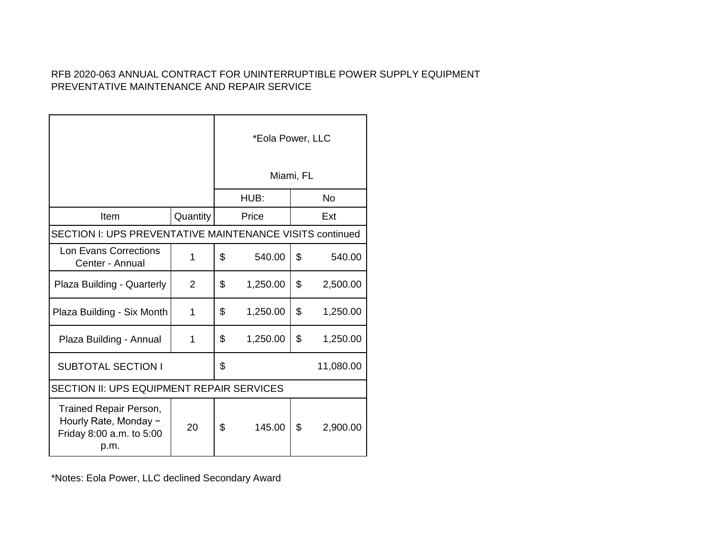|                                                                                     | *Eola Power, LLC |           |          |    |           |  |  |
|-------------------------------------------------------------------------------------|------------------|-----------|----------|----|-----------|--|--|
|                                                                                     |                  | Miami, FL |          |    |           |  |  |
|                                                                                     |                  |           | HUB:     |    | <b>No</b> |  |  |
| Item                                                                                | Quantity         |           | Price    |    | Ext       |  |  |
| <b>SECTION I: UPS PREVENTATIVE MAINTENANCE VISITS continued</b>                     |                  |           |          |    |           |  |  |
| Lon Evans Corrections<br>Center - Annual                                            | 1                | \$        | 540.00   | \$ | 540.00    |  |  |
| Plaza Building - Quarterly                                                          | 2                | \$        | 1,250.00 | \$ | 2,500.00  |  |  |
| Plaza Building - Six Month                                                          | 1                | \$        | 1,250.00 | \$ | 1,250.00  |  |  |
| Plaza Building - Annual                                                             | 1                | \$        | 1,250.00 | \$ | 1,250.00  |  |  |
| <b>SUBTOTAL SECTION I</b>                                                           |                  | \$        |          |    | 11,080.00 |  |  |
| SECTION II: UPS EQUIPMENT REPAIR SERVICES                                           |                  |           |          |    |           |  |  |
| Trained Repair Person,<br>Hourly Rate, Monday -<br>Friday 8:00 a.m. to 5:00<br>p.m. | 20               | \$        | 145.00   | \$ | 2,900.00  |  |  |